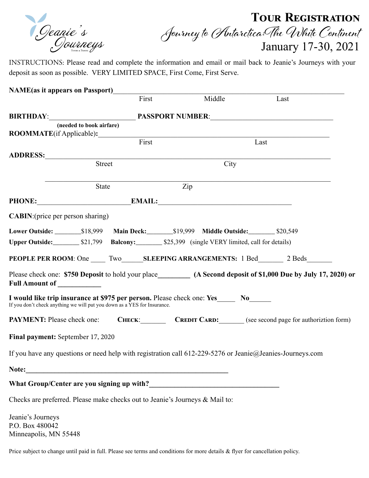Deanie's<br>Oourneys

## **Tour Registration**  Journey to Antarctica:The White Continent<br>January 17-30, 2021

INSTRUCTIONS: Please read and complete the information and email or mail back to Jeanie's Journeys with your deposit as soon as possible. VERY LIMITED SPACE, First Come, First Serve.

| <b>NAME</b> (as it appears on Passport)                                                                                                               |        |        |                                                                                                                    |
|-------------------------------------------------------------------------------------------------------------------------------------------------------|--------|--------|--------------------------------------------------------------------------------------------------------------------|
|                                                                                                                                                       | First  | Middle | Last                                                                                                               |
|                                                                                                                                                       |        |        |                                                                                                                    |
| (needed to book airfare)                                                                                                                              |        |        |                                                                                                                    |
| ROOMMATE(if Applicable):                                                                                                                              |        |        |                                                                                                                    |
|                                                                                                                                                       | First  |        | Last                                                                                                               |
|                                                                                                                                                       |        |        |                                                                                                                    |
|                                                                                                                                                       | Street | City   |                                                                                                                    |
|                                                                                                                                                       |        |        |                                                                                                                    |
|                                                                                                                                                       | State  | Zip    |                                                                                                                    |
| PHONE: EMAIL: EMAIL:                                                                                                                                  |        |        |                                                                                                                    |
| <b>CABIN:</b> (price per person sharing)                                                                                                              |        |        |                                                                                                                    |
|                                                                                                                                                       |        |        |                                                                                                                    |
|                                                                                                                                                       |        |        |                                                                                                                    |
|                                                                                                                                                       |        |        | <b>PEOPLE PER ROOM:</b> One Two SLEEPING ARRANGEMENTS: 1 Bed 2 Beds                                                |
| Full Amount of _____________                                                                                                                          |        |        | Please check one: \$750 Deposit to hold your place__________ (A Second deposit of \$1,000 Due by July 17, 2020) or |
| I would like trip insurance at \$975 per person. Please check one: Yes No<br>If you don't check anything we will put you down as a YES for Insurance. |        |        |                                                                                                                    |
|                                                                                                                                                       |        |        | PAYMENT: Please check one: CHECK: CREDIT CARD: (see second page for authoriztion form)                             |
| Final payment: September 17, 2020                                                                                                                     |        |        |                                                                                                                    |
| If you have any questions or need help with registration call $612-229-5276$ or Jeanie@Jeanies-Journeys.com                                           |        |        |                                                                                                                    |
|                                                                                                                                                       |        |        |                                                                                                                    |
|                                                                                                                                                       |        |        |                                                                                                                    |
| Checks are preferred. Please make checks out to Jeanie's Journeys & Mail to:                                                                          |        |        |                                                                                                                    |
| Jeanie's Journeys                                                                                                                                     |        |        |                                                                                                                    |

P.O. Box 480042 Minneapolis, MN 55448

Price subject to change until paid in full. Please see terms and conditions for more details & flyer for cancellation policy.